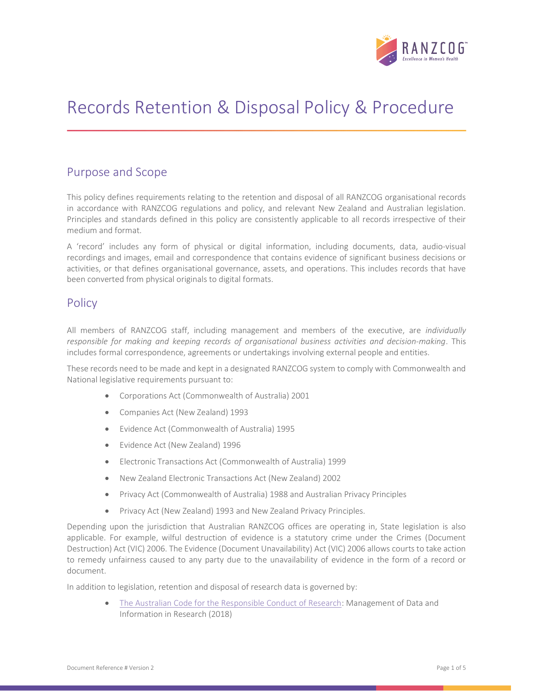

# Records Retention & Disposal Policy & Procedure

# Purpose and Scope

This policy defines requirements relating to the retention and disposal of all RANZCOG organisational records in accordance with RANZCOG regulations and policy, and relevant New Zealand and Australian legislation. Principles and standards defined in this policy are consistently applicable to all records irrespective of their medium and format.

A 'record' includes any form of physical or digital information, including documents, data, audio-visual recordings and images, email and correspondence that contains evidence of significant business decisions or activities, or that defines organisational governance, assets, and operations. This includes records that have been converted from physical originals to digital formats.

# **Policy**

All members of RANZCOG staff, including management and members of the executive, are individually responsible for making and keeping records of organisational business activities and decision-making. This includes formal correspondence, agreements or undertakings involving external people and entities.

These records need to be made and kept in a designated RANZCOG system to comply with Commonwealth and National legislative requirements pursuant to:

- Corporations Act (Commonwealth of Australia) 2001
- Companies Act (New Zealand) 1993
- Evidence Act (Commonwealth of Australia) 1995
- Evidence Act (New Zealand) 1996
- Electronic Transactions Act (Commonwealth of Australia) 1999
- New Zealand Electronic Transactions Act (New Zealand) 2002
- Privacy Act (Commonwealth of Australia) 1988 and Australian Privacy Principles
- Privacy Act (New Zealand) 1993 and New Zealand Privacy Principles.

Depending upon the jurisdiction that Australian RANZCOG offices are operating in, State legislation is also applicable. For example, wilful destruction of evidence is a statutory crime under the Crimes (Document Destruction) Act (VIC) 2006. The Evidence (Document Unavailability) Act (VIC) 2006 allows courts to take action to remedy unfairness caused to any party due to the unavailability of evidence in the form of a record or document.

In addition to legislation, retention and disposal of research data is governed by:

 The Australian Code for the Responsible Conduct of Research: Management of Data and Information in Research (2018)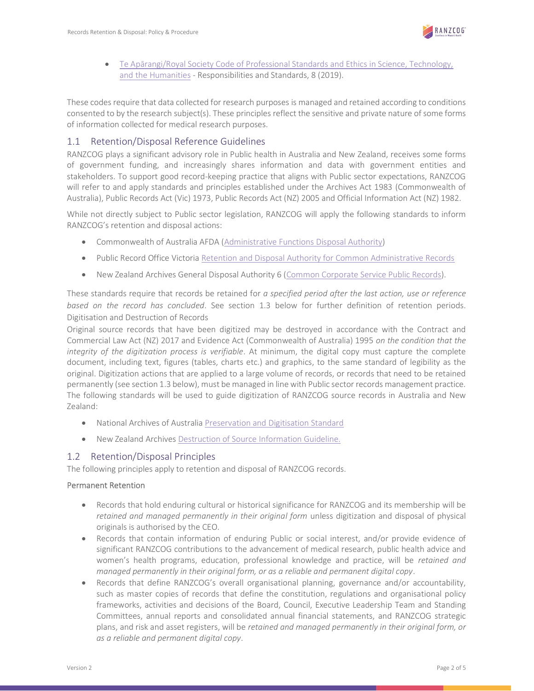

 Te Apārangi/Royal Society Code of Professional Standards and Ethics in Science, Technology, and the Humanities - Responsibilities and Standards, 8 (2019).

These codes require that data collected for research purposes is managed and retained according to conditions consented to by the research subject(s). These principles reflect the sensitive and private nature of some forms of information collected for medical research purposes.

## 1.1 Retention/Disposal Reference Guidelines

RANZCOG plays a significant advisory role in Public health in Australia and New Zealand, receives some forms of government funding, and increasingly shares information and data with government entities and stakeholders. To support good record-keeping practice that aligns with Public sector expectations, RANZCOG will refer to and apply standards and principles established under the Archives Act 1983 (Commonwealth of Australia), Public Records Act (Vic) 1973, Public Records Act (NZ) 2005 and Official Information Act (NZ) 1982.

While not directly subject to Public sector legislation, RANZCOG will apply the following standards to inform RANZCOG's retention and disposal actions:

- Commonwealth of Australia AFDA (Administrative Functions Disposal Authority)
- Public Record Office Victoria Retention and Disposal Authority for Common Administrative Records
- New Zealand Archives General Disposal Authority 6 (Common Corporate Service Public Records).

These standards require that records be retained for a specified period after the last action, use or reference based on the record has concluded. See section 1.3 below for further definition of retention periods. Digitisation and Destruction of Records

Original source records that have been digitized may be destroyed in accordance with the Contract and Commercial Law Act (NZ) 2017 and Evidence Act (Commonwealth of Australia) 1995 on the condition that the integrity of the digitization process is verifiable. At minimum, the digital copy must capture the complete document, including text, figures (tables, charts etc.) and graphics, to the same standard of legibility as the original. Digitization actions that are applied to a large volume of records, or records that need to be retained permanently (see section 1.3 below), must be managed in line with Public sector records management practice. The following standards will be used to guide digitization of RANZCOG source records in Australia and New Zealand:

- National Archives of Australia Preservation and Digitisation Standard
- New Zealand Archives Destruction of Source Information Guideline.

## 1.2 Retention/Disposal Principles

The following principles apply to retention and disposal of RANZCOG records.

#### Permanent Retention

- Records that hold enduring cultural or historical significance for RANZCOG and its membership will be retained and managed permanently in their original form unless digitization and disposal of physical originals is authorised by the CEO.
- Records that contain information of enduring Public or social interest, and/or provide evidence of significant RANZCOG contributions to the advancement of medical research, public health advice and women's health programs, education, professional knowledge and practice, will be retained and managed permanently in their original form, or as a reliable and permanent digital copy.
- Records that define RANZCOG's overall organisational planning, governance and/or accountability, such as master copies of records that define the constitution, regulations and organisational policy frameworks, activities and decisions of the Board, Council, Executive Leadership Team and Standing Committees, annual reports and consolidated annual financial statements, and RANZCOG strategic plans, and risk and asset registers, will be retained and managed permanently in their original form, or as a reliable and permanent digital copy.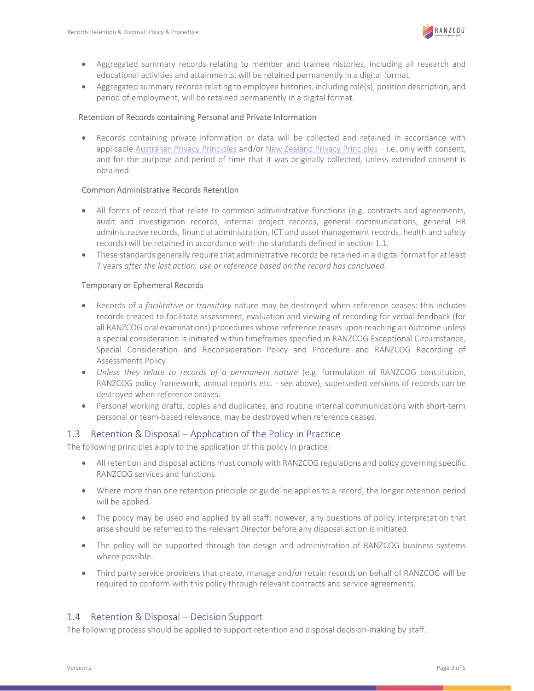

- Aggregated summary records relating to member and trainee histories, including all research and educational activities and attainments, will be retained permanently in a digital format.
- Aggregated summary records relating to employee histories, including role(s), position description, and period of employment, will be retained permanently in a digital format.

#### Retention of Records containing Personal and Private Information

 Records containing private information or data will be collected and retained in accordance with applicable Australian Privacy Principles and/or New Zealand Privacy Principles – i.e. only with consent, and for the purpose and period of time that it was originally collected, unless extended consent is obtained.

#### Common Administrative Records Retention

- All forms of record that relate to common administrative functions (e.g. contracts and agreements, audit and investigation records, internal project records, general communications, general HR administrative records, financial administration, ICT and asset management records, health and safety records) will be retained in accordance with the standards defined in section 1.1.
- These standards generally require that administrative records be retained in a digital format for at least 7 years after the last action, use or reference based on the record has concluded.

#### Temporary or Ephemeral Records

- Records of a facilitative or transitory nature may be destroyed when reference ceases: this includes records created to facilitate assessment, evaluation and viewing of recording for verbal feedback (for all RANZCOG oral examinations) procedures whose reference ceases upon reaching an outcome unless a special consideration is initiated within timeframes specified in RANZCOG Exceptional Circumstance, Special Consideration and Reconsideration Policy and Procedure and RANZCOG Recording of Assessments Policy.
- Unless they relate to records of a permanent nature (e.g. formulation of RANZCOG constitution, RANZCOG policy framework, annual reports etc. - see above), superseded versions of records can be destroyed when reference ceases.
- Personal working drafts, copies and duplicates, and routine internal communications with short-term personal or team-based relevance, may be destroyed when reference ceases.

#### 1.3 Retention & Disposal – Application of the Policy in Practice

The following principles apply to the application of this policy in practice:

- All retention and disposal actions must comply with RANZCOG regulations and policy governing specific RANZCOG services and functions.
- Where more than one retention principle or guideline applies to a record, the longer retention period will be applied.
- The policy may be used and applied by all staff: however, any questions of policy interpretation that arise should be referred to the relevant Director before any disposal action is initiated.
- The policy will be supported through the design and administration of RANZCOG business systems where possible.
- Third party service providers that create, manage and/or retain records on behalf of RANZCOG will be required to conform with this policy through relevant contracts and service agreements.

## 1.4 Retention & Disposal – Decision Support

The following process should be applied to support retention and disposal decision-making by staff.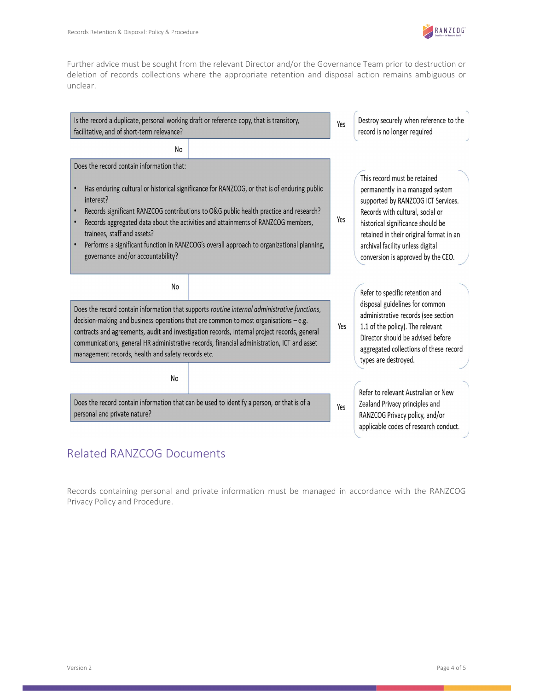

Further advice must be sought from the relevant Director and/or the Governance Team prior to destruction or deletion of records collections where the appropriate retention and disposal action remains ambiguous or unclear.



# Related RANZCOG Documents

Records containing personal and private information must be managed in accordance with the RANZCOG Privacy Policy and Procedure.